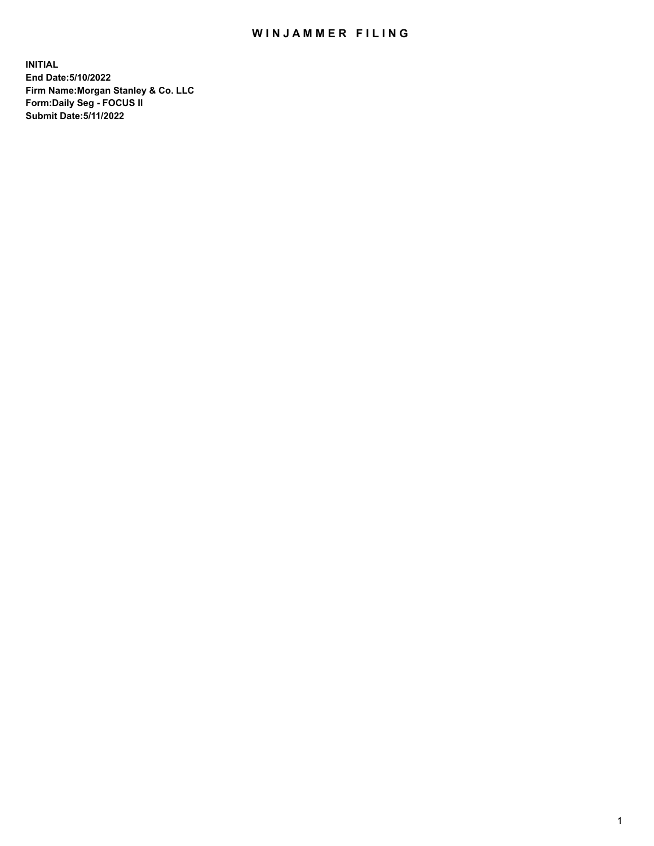## WIN JAMMER FILING

**INITIAL End Date:5/10/2022 Firm Name:Morgan Stanley & Co. LLC Form:Daily Seg - FOCUS II Submit Date:5/11/2022**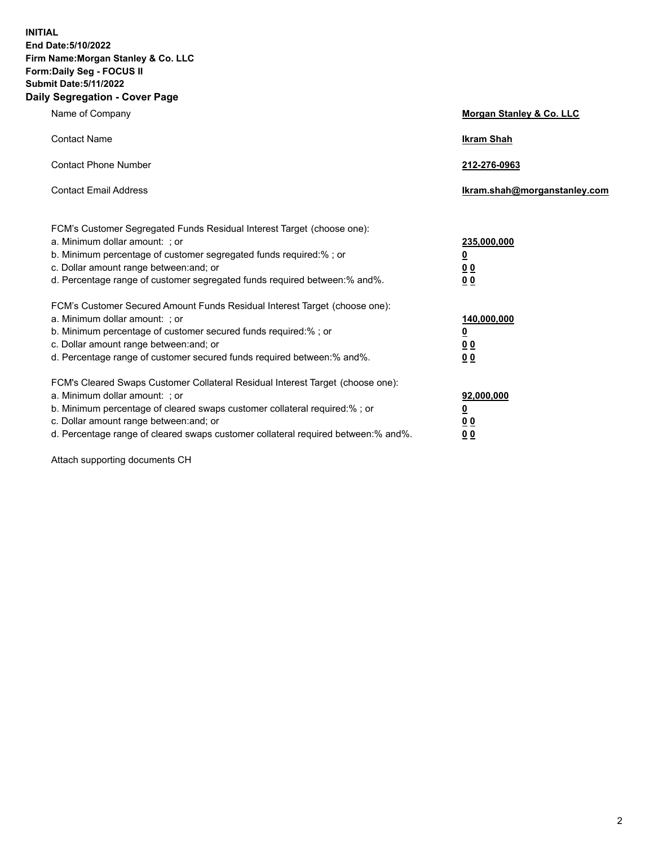**INITIAL End Date:5/10/2022 Firm Name:Morgan Stanley & Co. LLC Form:Daily Seg - FOCUS II Submit Date:5/11/2022 Daily Segregation - Cover Page**

| Name of Company                                                                                                                                                                                                                                                                                                               | Morgan Stanley & Co. LLC                               |
|-------------------------------------------------------------------------------------------------------------------------------------------------------------------------------------------------------------------------------------------------------------------------------------------------------------------------------|--------------------------------------------------------|
| <b>Contact Name</b>                                                                                                                                                                                                                                                                                                           | <b>Ikram Shah</b>                                      |
| <b>Contact Phone Number</b>                                                                                                                                                                                                                                                                                                   | 212-276-0963                                           |
| <b>Contact Email Address</b>                                                                                                                                                                                                                                                                                                  | Ikram.shah@morganstanley.com                           |
| FCM's Customer Segregated Funds Residual Interest Target (choose one):<br>a. Minimum dollar amount: ; or<br>b. Minimum percentage of customer segregated funds required:% ; or<br>c. Dollar amount range between: and; or<br>d. Percentage range of customer segregated funds required between:% and%.                        | 235,000,000<br><u>0</u><br><u>00</u><br>0 <sup>0</sup> |
| FCM's Customer Secured Amount Funds Residual Interest Target (choose one):<br>a. Minimum dollar amount: ; or<br>b. Minimum percentage of customer secured funds required:%; or<br>c. Dollar amount range between: and; or<br>d. Percentage range of customer secured funds required between:% and%.                           | 140,000,000<br><u>0</u><br><u>00</u><br>0 <sub>0</sub> |
| FCM's Cleared Swaps Customer Collateral Residual Interest Target (choose one):<br>a. Minimum dollar amount: ; or<br>b. Minimum percentage of cleared swaps customer collateral required:%; or<br>c. Dollar amount range between: and; or<br>d. Percentage range of cleared swaps customer collateral required between:% and%. | 92,000,000<br><u>0</u><br>0 Q<br>00                    |

Attach supporting documents CH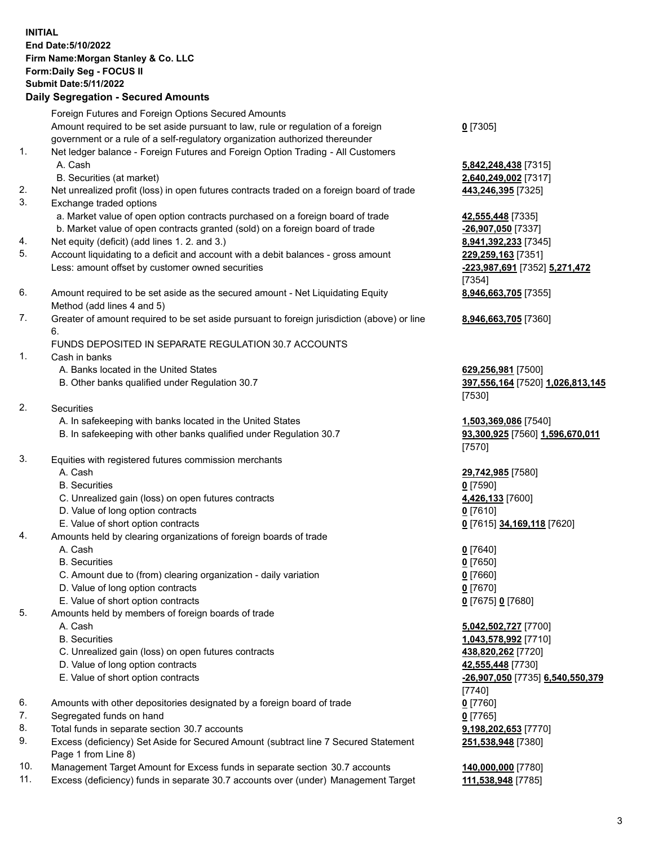## **INITIAL End Date:5/10/2022 Firm Name:Morgan Stanley & Co. LLC Form:Daily Seg - FOCUS II Submit Date:5/11/2022 Daily Segregation - Secured Amounts**

Foreign Futures and Foreign Options Secured Amounts Amount required to be set aside pursuant to law, rule or regulation of a foreign government or a rule of a self-regulatory organization authorized thereunder

- 1. Net ledger balance Foreign Futures and Foreign Option Trading All Customers A. Cash **5,842,248,438** [7315]
	- B. Securities (at market) **2,640,249,002** [7317]
- 2. Net unrealized profit (loss) in open futures contracts traded on a foreign board of trade **443,246,395** [7325]
- 3. Exchange traded options
	- a. Market value of open option contracts purchased on a foreign board of trade **42,555,448** [7335]
	- b. Market value of open contracts granted (sold) on a foreign board of trade **-26,907,050** [7337]
- 4. Net equity (deficit) (add lines 1. 2. and 3.) **8,941,392,233** [7345]
- 5. Account liquidating to a deficit and account with a debit balances gross amount **229,259,163** [7351] Less: amount offset by customer owned securities **-223,987,691** [7352] **5,271,472**
- 6. Amount required to be set aside as the secured amount Net Liquidating Equity Method (add lines 4 and 5)
- 7. Greater of amount required to be set aside pursuant to foreign jurisdiction (above) or line 6.

## FUNDS DEPOSITED IN SEPARATE REGULATION 30.7 ACCOUNTS

- 1. Cash in banks
	- A. Banks located in the United States **629,256,981** [7500]
	- B. Other banks qualified under Regulation 30.7 **397,556,164** [7520] **1,026,813,145**
- 2. Securities
	- A. In safekeeping with banks located in the United States **1,503,369,086** [7540]
	- B. In safekeeping with other banks qualified under Regulation 30.7 **93,300,925** [7560] **1,596,670,011**
- 3. Equities with registered futures commission merchants
	-
	- B. Securities **0** [7590]
	- C. Unrealized gain (loss) on open futures contracts **4,426,133** [7600]
	- D. Value of long option contracts **0** [7610]
	- E. Value of short option contracts **0** [7615] **34,169,118** [7620]
- 4. Amounts held by clearing organizations of foreign boards of trade
	-
	- B. Securities **0** [7650]
	- C. Amount due to (from) clearing organization daily variation **0** [7660]
	- D. Value of long option contracts **0** [7670]
	- E. Value of short option contracts **0** [7675] **0** [7680]
- 5. Amounts held by members of foreign boards of trade
	-
	-
	- C. Unrealized gain (loss) on open futures contracts **438,820,262** [7720]
	- D. Value of long option contracts **42,555,448** [7730]
	- E. Value of short option contracts **-26,907,050** [7735] **6,540,550,379**
- 6. Amounts with other depositories designated by a foreign board of trade **0** [7760]
- 7. Segregated funds on hand **0** [7765]
- 8. Total funds in separate section 30.7 accounts **9,198,202,653** [7770]
- 9. Excess (deficiency) Set Aside for Secured Amount (subtract line 7 Secured Statement Page 1 from Line 8)
- 10. Management Target Amount for Excess funds in separate section 30.7 accounts **140,000,000** [7780]
- 11. Excess (deficiency) funds in separate 30.7 accounts over (under) Management Target **111,538,948** [7785]

**0** [7305]

[7354] **8,946,663,705** [7355]

**8,946,663,705** [7360]

[7530]

[7570]

A. Cash **29,742,985** [7580]

A. Cash **0** [7640]

 A. Cash **5,042,502,727** [7700] B. Securities **1,043,578,992** [7710] [7740] **251,538,948** [7380]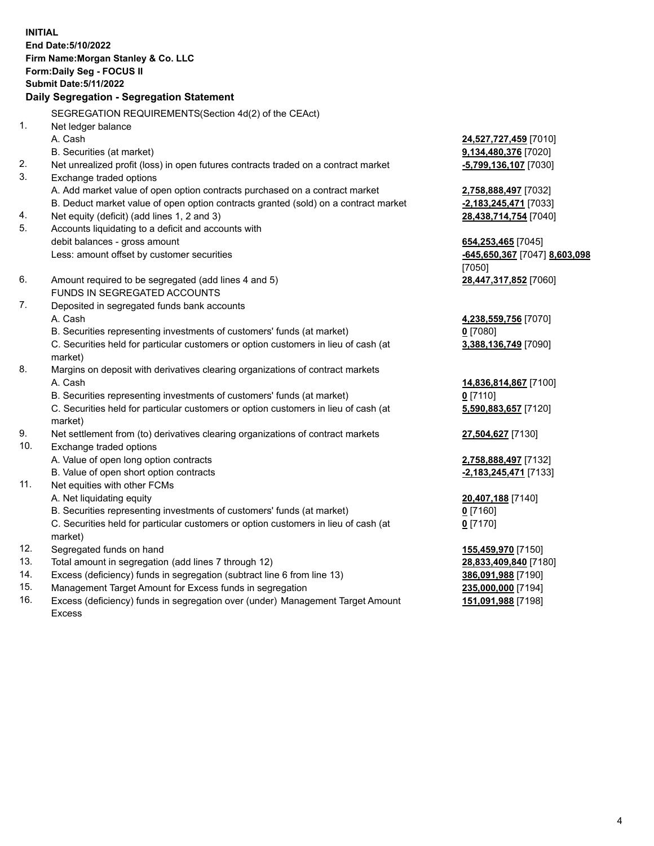**INITIAL End Date:5/10/2022 Firm Name:Morgan Stanley & Co. LLC Form:Daily Seg - FOCUS II Submit Date:5/11/2022 Daily Segregation - Segregation Statement** SEGREGATION REQUIREMENTS(Section 4d(2) of the CEAct) 1. Net ledger balance A. Cash **24,527,727,459** [7010] B. Securities (at market) **9,134,480,376** [7020] 2. Net unrealized profit (loss) in open futures contracts traded on a contract market **-5,799,136,107** [7030] 3. Exchange traded options A. Add market value of open option contracts purchased on a contract market **2,758,888,497** [7032] B. Deduct market value of open option contracts granted (sold) on a contract market **-2,183,245,471** [7033] 4. Net equity (deficit) (add lines 1, 2 and 3) **28,438,714,754** [7040] 5. Accounts liquidating to a deficit and accounts with debit balances - gross amount **654,253,465** [7045] Less: amount offset by customer securities **-645,650,367** [7047] **8,603,098** [7050] 6. Amount required to be segregated (add lines 4 and 5) **28,447,317,852** [7060] FUNDS IN SEGREGATED ACCOUNTS 7. Deposited in segregated funds bank accounts A. Cash **4,238,559,756** [7070] B. Securities representing investments of customers' funds (at market) **0** [7080] C. Securities held for particular customers or option customers in lieu of cash (at market) **3,388,136,749** [7090] 8. Margins on deposit with derivatives clearing organizations of contract markets A. Cash **14,836,814,867** [7100] B. Securities representing investments of customers' funds (at market) **0** [7110] C. Securities held for particular customers or option customers in lieu of cash (at market) **5,590,883,657** [7120] 9. Net settlement from (to) derivatives clearing organizations of contract markets **27,504,627** [7130] 10. Exchange traded options A. Value of open long option contracts **2,758,888,497** [7132] B. Value of open short option contracts **-2,183,245,471** [7133] 11. Net equities with other FCMs A. Net liquidating equity **20,407,188** [7140] B. Securities representing investments of customers' funds (at market) **0** [7160] C. Securities held for particular customers or option customers in lieu of cash (at market) **0** [7170] 12. Segregated funds on hand **155,459,970** [7150] 13. Total amount in segregation (add lines 7 through 12) **28,833,409,840** [7180] 14. Excess (deficiency) funds in segregation (subtract line 6 from line 13) **386,091,988** [7190] 15. Management Target Amount for Excess funds in segregation **235,000,000** [7194]

16. Excess (deficiency) funds in segregation over (under) Management Target Amount Excess

**151,091,988** [7198]